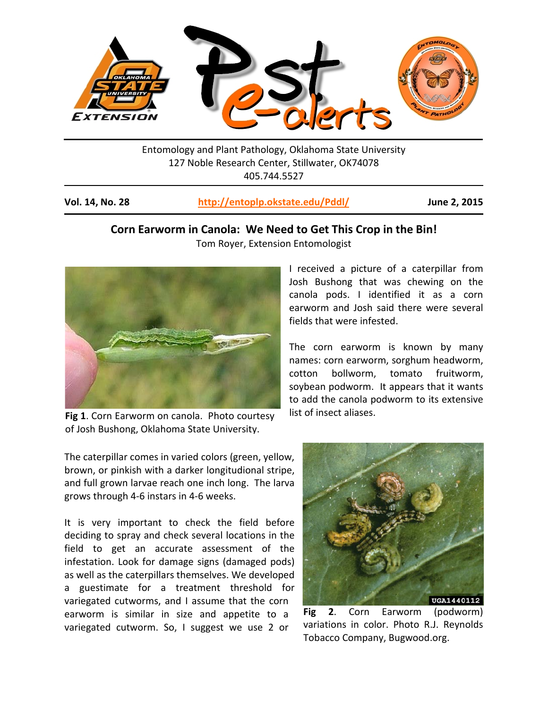

Entomology and Plant Pathology, Oklahoma State University 127 Noble Research Center, Stillwater, OK74078 405.744.5527

| Vol. 14, No. 28 | http://entoplp.okstate.edu/Pddl/ | June 2, 2015 |
|-----------------|----------------------------------|--------------|
|-----------------|----------------------------------|--------------|

## **Corn Earworm in Canola: We Need to Get This Crop in the Bin!**

Tom Royer, Extension Entomologist



**Fig 1**. Corn Earworm on canola. Photo courtesy of Josh Bushong, Oklahoma State University.

The caterpillar comes in varied colors (green, yellow, brown, or pinkish with a darker longitudional stripe, and full grown larvae reach one inch long. The larva grows through 4-6 instars in 4-6 weeks.

It is very important to check the field before deciding to spray and check several locations in the field to get an accurate assessment of the infestation. Look for damage signs (damaged pods) as well as the caterpillars themselves. We developed a guestimate for a treatment threshold for variegated cutworms, and I assume that the corn earworm is similar in size and appetite to a variegated cutworm. So, I suggest we use 2 or

I received a picture of a caterpillar from Josh Bushong that was chewing on the canola pods. I identified it as a corn earworm and Josh said there were several fields that were infested.

The corn earworm is known by many names: corn earworm, sorghum headworm, cotton bollworm, tomato fruitworm, soybean podworm. It appears that it wants to add the canola podworm to its extensive list of insect aliases.



**Fig 2**. Corn Earworm (podworm) variations in color. Photo R.J. Reynolds Tobacco Company, Bugwood.org.